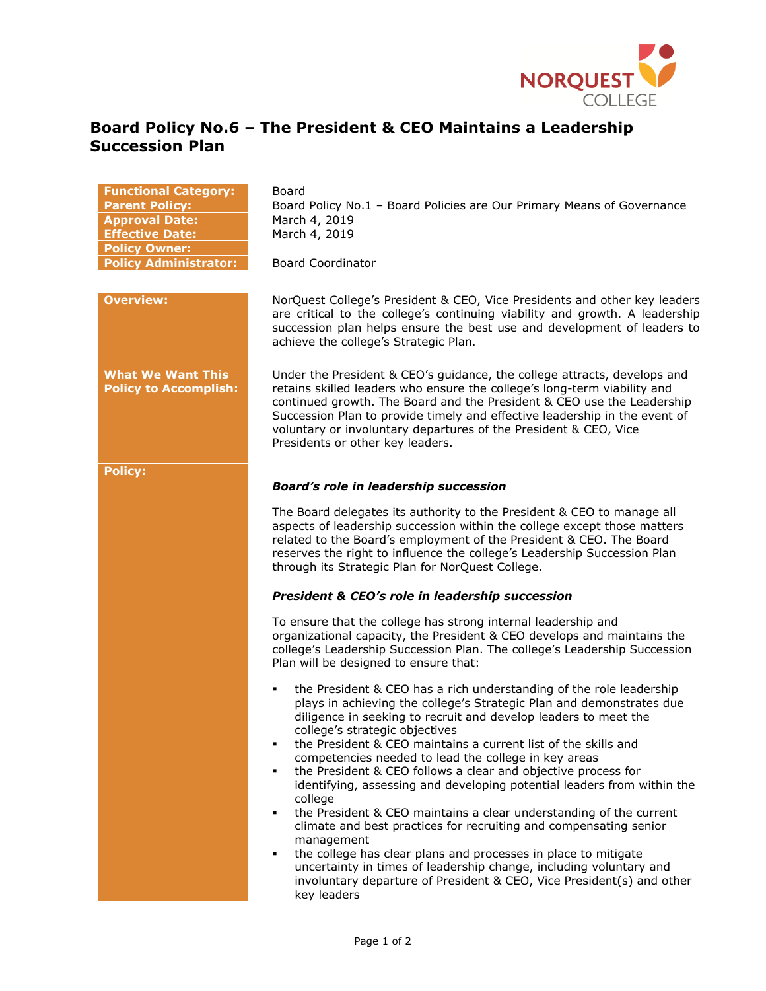

## **Board Policy No.6 – The President & CEO Maintains a Leadership Succession Plan**

## **Functional Category:** Board **Parent Policy:** Board Policy No.1 – Board Policies are Our Primary Means of Governance **Approval Date:** March 4, 2019 **Effective Date:** March 4, 2019 **Policy Owner: Policy Administrator:** Board Coordinator **Overview:** NorQuest College's President & CEO, Vice Presidents and other key leaders are critical to the college's continuing viability and growth. A leadership succession plan helps ensure the best use and development of leaders to achieve the college's Strategic Plan. **What We Want This Policy to Accomplish:** Under the President & CEO's guidance, the college attracts, develops and retains skilled leaders who ensure the college's long-term viability and continued growth. The Board and the President & CEO use the Leadership Succession Plan to provide timely and effective leadership in the event of voluntary or involuntary departures of the President & CEO, Vice Presidents or other key leaders. **Policy:** *Board's role in leadership succession*  The Board delegates its authority to the President & CEO to manage all aspects of leadership succession within the college except those matters related to the Board's employment of the President & CEO. The Board reserves the right to influence the college's Leadership Succession Plan through its Strategic Plan for NorQuest College. *President & CEO's role in leadership succession*  To ensure that the college has strong internal leadership and organizational capacity, the President & CEO develops and maintains the college's Leadership Succession Plan. The college's Leadership Succession Plan will be designed to ensure that: the President & CEO has a rich understanding of the role leadership plays in achieving the college's Strategic Plan and demonstrates due diligence in seeking to recruit and develop leaders to meet the college's strategic objectives the President & CEO maintains a current list of the skills and competencies needed to lead the college in key areas the President & CEO follows a clear and objective process for identifying, assessing and developing potential leaders from within the college the President & CEO maintains a clear understanding of the current climate and best practices for recruiting and compensating senior management the college has clear plans and processes in place to mitigate uncertainty in times of leadership change, including voluntary and involuntary departure of President & CEO, Vice President(s) and other key leaders